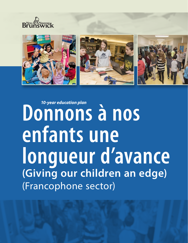







# *10-year education plan* **Donnons à nos enfants une longueur d'avance (Giving our children an edge)** (Francophone sector)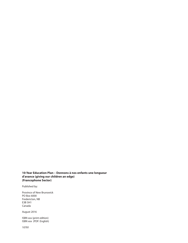#### **10-Year Education Plan – Donnons à nos enfants une longueur d'avance (giving our children an edge) (Francophone Sector)**

Published by:

Province of New Brunswick PO Box 6000 Fredericton, NB E3B 5H1 Canada

August 2016

ISBN xxx (print edition) ISBN xxx (PDF: English)

10781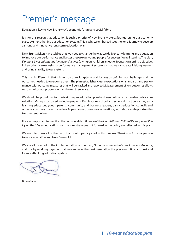## Premier's message

Education is key to New Brunswick's economic future and social fabric.

It is for this reason that education is such a priority of New Brunswickers. Strengthening our economy starts by strengthening our education system. This is why we embarked together on a journey to develop a strong and innovative long-term education plan.

New Brunswickers have told us that we need to change the way we deliver early learning and education to improve our performance and better prepare our young people for success. We're listening. The plan, *Donnons à nos enfants une longueur d'avance* (giving our children an edge) focuses on setting objectives in key priority areas using a performance management system so that we can create lifelong learners and bring stability to our system.

This plan is different in that it is non-partisan, long-term, and focuses on defining our challenges and the outcomes needed to overcome them. The plan establishes clear expectations on standards and performance, with outcome measures that will be tracked and reported. Measurement of key outcomes allows us to monitor our progress across the next ten years.

We should be proud that for the first time, an education plan has been built on an extensive public consultation. Many participated including experts, First Nations, school and school district personnel, early learning educators, youth, parents, community and business leaders, district education councils and other key partners through a series of open houses, one-on-one meetings, workshops and opportunities to comment online.

It is also important to mention the considerable influence of the *Linguistic and Cultural Development Policy* on the 10-year education plan. Various strategies put forward in the policy are reflected in this plan.

We want to thank all of the participants who participated in this process. Thank you for your passion towards education and New Brunswick.

We are all invested in the implementation of the plan, *Donnons à nos enfants une longueur d'avance*, and it is by working together that we can leave the next generation the precious gift of a robust and forward-thinking education system.

Brian Gallant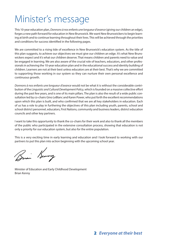## Minister's message

This 10-year education plan, *Donnons à nos enfants une longueur d'avance* (giving our children an edge), forges a new path forward for education in New Brunswick. We want New Brunswickers to begin learning at birth and to continue learning throughout their lives. This will be achieved through the priorities and conditions for success identified in the following pages.

We are committed to a rising tide of excellence in New Brunswick's education system. As the title of this plan suggests, to achieve our objectives we must give our children an edge. It's what New Brunswickers expect and it's what our children deserve. That means children and parents need to value and be engaged in learning. We are also aware of the crucial role of teachers, educators, and other professionals in achieving the 10-year education plan and in the educational success and identity building of children. Learners are not at their best unless educators are at their best. That's why we are committed to supporting those working in our system so they can nurture their own personal excellence and continuous growth.

*Donnons à nos enfants une longueur d'avance* would not be what it is without the considerable contribution of the *Linguistic and Cultural Development Policy*, which is founded on a massive collective effort during the past few years, and is one of its main pillars. The plan is also the result of a wide public consultation led by co-chairs Gino LeBlanc and Karen Power, who put forth the excellent recommendations upon which this plan is built, and who confirmed that we are all key stakeholders in education. Each of us has a role to play in furthering the objectives of this plan including youth, parents, school and school district personnel, educators, First Nations, community and business leaders, district education councils and other key partners.

I want to take this opportunity to thank the co-chairs for their work and also to thank all the members of the public who participated in the extensive consultation process, showing that education is not only a priority for our education system, but also for the entire population.

This is a very exciting time in early learning and education and I look forward to working with our partners to put this plan into action beginning with the upcoming school year.

Brian Kenning

Minister of Education and Early Childhood Development Brian Kenny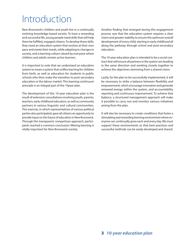## Introduction

New Brunswick's children and youth live in a continually evolving knowledge-based society. To have a rewarding and successful life, young people need skills that will help them be fulfilled, engaged citizens. To develop these skills, they need an education system that evolves at their own pace and meets their needs, while adapting to changes in society, and a learning culture valued by everyone where children and adults remain active learners.

It is important to note that we understand an education system to mean a system that unifies learning for children from birth, as well as education for students in public schools who then make the transition to post-secondary education or the labour market. This learning continuum principle is an integral part of the 10year plan.

The development of this 10-year education plan is the result of extensive consultations involving youth, parents, teachers, early childhood educators, as well as community partners in various linguistic and cultural communities. This exercise, in which representatives of various political parties also participated, gave all citizens an opportunity to provide input on the future of education in New Brunswick. Through this transparent, nonpartisan approach, participants reached a common conclusion: lifelong learning is vitally important for New Brunswick society.

Another finding that emerged during this engagement process was that the education system requires a clear vision and greater stability to ensure the optimum overall development of every child, starting in early childhood all along the pathway through school and post-secondary education.

The 10-year education plan is intended to be a social contract that will ensure all partners in the system are heading in the same direction and working closely together to achieve the objectives stemming from a shared vision.

Lastly, for the plan to be successfully implemented, it will be necessary to strike a balance between flexibility and empowerment, which encourage innovation and generate renewed energy within the system, and accountability reporting and continuous improvement. To achieve that balance, a structured management approach will make it possible to carry out and monitor various initiatives arising from the plan.

It will also be necessary to create conditions that foster a stimulating and rewarding learning environment where everyone can continually grow each and every day. We must support these environments so that best practices and successful methods can be easily developed and shared.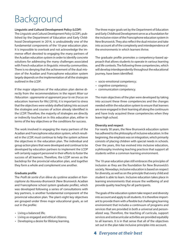## Background

#### **Linguistic and Cultural Development Policy (LCDP)**

The *Linguistic and Cultural Development Policy* (LCDP), published by the Department of Education and Early Childhood Development in 2014, is undoubtedly one of the fundamental components of the 10-year education plan. It is impossible to overlook and not acknowledge the immense effort devoted to engaging the many partners of the Acadian education system in order to identify concrete solutions for addressing the many challenges associated with French education in linguistic minority communities. There is no denying that the achievement of the dual mission of the Acadian and Francophone education system largely depends on the implementation of all the strategies outlined in the *LCDP*.

If the major objectives of the education plan derive directly from the recommendations in the report *Miser sur l'éducation : apprenante et apprenant pour la vie* (Focus on education: learners for life) (2016), it is important to stress that the objectives were widely drafted taking into account the strategies and courses of action already identified in the LCDP. Therefore, the majority of strategies are directly or indirectly touched on in this education plan, either in terms of the key objectives or the conditions for success.

The work involved in engaging the many partners of the Acadian and Francophone education system, which resulted in the LCDP, must continue to help the system achieve the objectives in the education plan. The individual and group action plans that were developed and continue to be developed by education partners to implement the LCDP will certainly support personnel in their efforts to foster the success of all learners. Therefore, the LCDP serves as the backdrop for the provincial education plan, and together they form a whole and complement one another.

#### **Graduate profile**

The *Profil de sortie d'un* élève *du système acadien et francophone du Nouveau-Brunswick* (New Brunswick Acadian and Francophone school system graduate profile), which was developed following a series of consultations with key partners, is another fundamental component of the provincial education plan. The plan's eight key objectives are grouped under three major educational goals, as set out in the profile:

- Living a balanced life;
- Living as engaged and ethical citizens;
- Developing a desire for lifelong learning.

The three major goals set by the Department of Education and Early Childhood Development serve as a foundation for the inclusive vision of the Francophone education system in New Brunswick. They also reflect the dual mission and take into account all of the complexity and interdependence of the environments in which learners thrive.

The graduate profile promotes a competency-based approach that allows students to operate in various learning and life contexts. The following three competencies, which will develop interdependently throughout the educational journey, have been identified:

- socio-emotional competency;
- cognitive competency;
- communication competency.

The main objectives of the plan were developed by taking into account these three competencies and the changes needed within the education system to ensure that learners are more engaged in their learning all along the continuum and have truly acquired these competencies when they leave high school.

#### **Diversity and respect**

For nearly 30 years, the New Brunswick education system has adhered to the philosophy of inclusive education. In the beginning, the emphasis was on integration, which primarily consists of placing children with special needs in schools. Over the years, this has evolved into inclusive education, a philosophy involving teaching practices that support all students within a common learning environment.

The 10-year education plan still embraces the principles of inclusion as they are the foundation for New Brunswick's society. Nowadays, inclusive education is based on respect for diversity, as well as on the principle that every child and student is able to learn. Inclusive education takes place in learning environments that ensure the wellbeing of and provide quality teaching for all participants.

The goals of the education system take respect and diversity into account and apply to all students. It is therefore important to provide them with a flexible but challenging learning environment that includes a continuum of programs and services that are provided in both a universal and personalized way. Therefore, the teaching of curricula, support services and extracurricular activities are provided equitably to all learners. It is in that sense that all of the objectives set out in the plan take inclusive principles into account.

### 4 *Everyone at their best*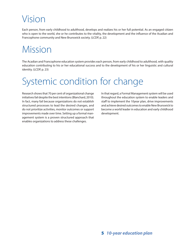## Vision

Each person, from early childhood to adulthood, develops and realizes his or her full potential. As an engaged citizen who is open to the world, she or he contributes to the vitality, the development and the influence of the Acadian and Francophone community and New Brunswick society. (LCDP, p. 22)

## Mission

The Acadian and Francophone education system provides each person, from early childhood to adulthood, with quality education contributing to his or her educational success and to the development of his or her linguistic and cultural identity. (LCDP, p. 23)

## Systemic condition for change

Research shows that 70 per cent of organizational change initiatives fail despite the best intentions (Blanchard, 2010). In fact, many fail because organizations do not establish structured processes to lead the desired changes, and do not prioritize activities, monitor outcomes or support improvements made over time. Setting up a formal management system is a proven structured approach that enables organizations to address these challenges.

In that regard, a Formal Management system will be used throughout the education system to enable leaders and staff to implement the 10year plan, drive improvements and achieve desired outcomes to enable New Brunswick to become a world leader in education and early childhood development.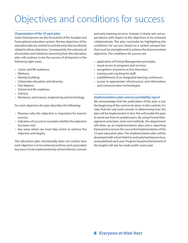## Objectives and conditions for success

#### *Organization of the 10-year plan*

Given that learners are the focal point of the Acadian and Francophone education system, the key objectives of the education plan are centred on activity areas that are directly related to those objectives. Consequently, the outcome of all activities and initiatives stemming from the education plan will continue to be the success of all learners in the following eight areas:

- Career and life readiness;
- Wellness;
- Identity building;
- Citizenship education and diversity;
- First Nations;
- School and life readiness;
- Literacy;
- Numeracy and science, engineering and technology.

For each objective, the plan describes the following:

- Reasons why the objective is important for learner success;
- Indicators of success to ascertain whether the objective has been met;
- Key areas where we must take action to achieve the objective and targets.

The education plan intentionally does not outline how each objective is to be achieved and how each associated key area is to be implemented by school districts, schools and early learning services. Instead, it clearly sets out expectations with respect to the objectives to be achieved collaboratively. The plan concludes by highlighting the conditions for success based on a system perspective that must be strengthened to achieve the learnercentred objectives. The conditions for success are:

- application of Formal Management principles;
- equal access to programs and services;
- recognition of parents as first educators;
- training and coaching for staff;
- establishment of an integrated learning continuum;
- access to appropriate infrastructure and information and communication technologies.

#### *Implementation plan and accountability report*

We acknowledge that the publication of this plan is just the beginning of the work to be done. In this context, it is clear that the real work consists in determining how the plan will be implemented. In fact, this will enable the plan to stand out from its predecessors. By using Formal Management principles, tools and methods, the department will draw up an implementation plan and a reporting framework to ensure the successful implementation of the 10-year education plan. The implementation plan will be developed with school districts and early learning services, and published each year. Progress toward achievement of the targets will also be made public every year.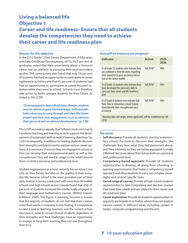### Living a balanced life Objective 1 Career and life readiness–Ensure that all students develop the competencies they need to achieve their career and life readiness plan

#### *Reason for this objective*

In the 2015 Grade 12 Exit Survey (Department of Education and Early Childhood Development, 2015), 56.7 per cent of graduates stated that their uncertainty about a choice of career was an obstacle to pursuing their post-secondary studies. This same survey also found that only 59 per cent of students had had an opportunity to participate in career exploration activities and that 61 per cent of students had had an opportunity to participate in career-focused activities while they were in school. Schools must therefore take action to better prepare students for their future. As stated in the LCDP:

*"To be equipped to deal with all these changes, students must be able to acquire the knowledge, skills and attitudes necessary to carry through with their life/career project and their civic engagement, so as to advance their personal and vocational development."* **(p. 128)**

The LCDP reminds us equally that "schools must continue to transform teaching and learning so as to support the development of sustainable skills as explicit learning objectives." (p. 129) Consequently, in addition to helping students discover their strengths and talents and to explore various career options, it is necessary to ensure they are engaged in school so they can develop their entrepreneurial spirit, as well as the competencies they will need to adapt to the world around them on both a personal and professional level.

Student engagement at school certainly has an impact not only on their future, but also on the quality of their everyday life, because school is the most prevalent part of their daily routine. A survey conducted with more than 90 middle schools and high schools across Canada found that only 37 per cent of students surveyed felt intellectually engaged in their language and mathematics courses (Willms, Friesen & Milton, 2009). This figure is alarming because it reveals that the majority of students do not feel that their courses meet their needs. In response to this finding, it is imperative to take a look at teaching practices and the current school structure in order to ensure that all students, regardless of their strengths and their challenges, have an opportunity to engage in long-term learning they can use throughout their lives.

#### *How will we measure our progress?*

| Indicator                                                                                                                                                        | Actual     | 2025-<br>2026 |  |
|------------------------------------------------------------------------------------------------------------------------------------------------------------------|------------|---------------|--|
| % of Grade 12 students who indicate they<br>are confident in their decisions regarding<br>their transition to post-secondary educa-<br>tion or the labour market | Fall 2018* | 90%           |  |
| % of Grade 12 students who indicate they<br>have developed the necessary skills to<br>carry out their career and life readiness<br>plan                          | Fall 2018* | 90%           |  |
| % of Grade 8 students who indicate that<br>their time in elementary school helped<br>them identify their strengths and areas<br>of interest                      | Fall 2018* | 90%           |  |
| *Baseline data and target, where applicable, will be established by Fall<br>2018.                                                                                |            |               |  |

#### *Key areas*

- **Self-discovery**: Provide all students, starting in elementary school, the tools to discover their strengths, the challenges they face, what they feel passionate about, and their interests, so they are better equipped to make informed decisions about their future both on a personal and professional level.
- **Competency-based approach**: Provide all students opportunities to develop, all along their schooling, in learning environments that foster a competency-based approach and allow students to carry out complex, meaningful and context-specific tasks.
- **Varied range of courses**: Provide all high school students opportunities to take compulsory and elective courses that meet their needs and are related to their career and life readiness plan.
- **Career exploration**: Provide all students opportunities to regularly participate in activities where they can explore various careers in different areas, including careers in trades, computer programming and the arts.

### 7 *10-year education plan*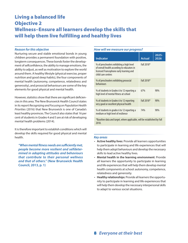### Living a balanced life Objective 2 Wellness–Ensure all learners develop the skills that will help them live fulfilling and healthy lives

#### *Reason for this objective*

Nurturing secure and stable emotional bonds in young children provides a permanent foundation with positive, longterm consequences. These bonds foster the development of selfconfidence, the ability to manage emotions, the ability to adjust, as well as motivation to explore the world around them. A healthy lifestyle (physical exercise, proper nutrition and good sleep habits), the four components of mental health (autonomy, competence, relatedness and generosity), and prosocial behaviours are some of the key elements for good physical and mental health.

However, statistics show that there are significant deficiencies in this area. The New Brunswick Health Council states in its report *Recognizing and Focusing on Population Health Priorities* (2016) that New Brunswick is one of Canada's least healthy provinces. The Council also states that 16 per cent of students in Grades 4 and 5 are at risk of developing mental health problems (2014).

It is therefore important to establish conditions which will develop the skills required for good physical and mental health.

*"When mental fitness needs are sufficiently met, people become more resilient and selfdetermined in adopting attitudes and behaviours that contribute to their personal wellness and that of others."* **(New Brunswick Health Council, 2013, p. 1)**

#### *How will we measure our progress?*

| <b>Indicator</b>                                                                                                                                          | <b>Actual</b> | 2025-<br>2026 |  |
|-----------------------------------------------------------------------------------------------------------------------------------------------------------|---------------|---------------|--|
| % of preschoolers exhibiting a high level<br>of overall health according to educators in<br>licensed Francophone early learning and<br>child care centres | Fall 2018*    |               |  |
| % of preschoolers exhibiting prosocial<br>behaviours                                                                                                      | Fall 2018*    |               |  |
| % of students in Grades 6 to 12 reporting a<br>high level of mental fitness at school                                                                     | 67%           | 90%           |  |
| % of students in Grades 6 to 12 reporting<br>very good or excellent physical health                                                                       | Fall 2018*    | 90%           |  |
| % of students in grades 6 to 12 reporting a<br>medium or high level of resilience                                                                         | 74%           | 90%           |  |
| *Raseline data and target where annicable will be established by Fall                                                                                     |               |               |  |

\*Baseline data and target, where applicable, will be established by Fall 2018.

- **Active healthy lives**: Provide all learners opportunities to participate in learning and life experiences that will help them adopt behaviours and develop the necessary skills to lead active healthy lives.
- **Mental health in the learning environment**: Provide all learners the opportunity to participate in learning and life experiences that will help them develop mental health components at school: autonomy, competence, relatedness and generosity.
- **Healthy relationships**: Provide all learners the opportunity to participate in learning and life experiences that will help them develop the necessary interpersonal skills to adapt to various social situations.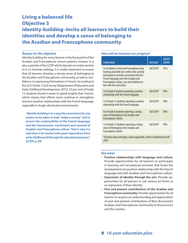### Living a balanced life Objective 3 Identity-building–Incite all learners to build their identities and develop a sense of belonging to the Acadian and Francophone community

#### *Reason for this objective*

Identity building for every learner is the focal point of the Acadian and Francophone school system's mission. It is also a priority of the LCDP which devotes an entire section to it. In minority settings, it is vitally important to ensure that all learners develop a strong sense of belonging to the Acadian and Francophone community, as well as confidence in expressing themselves in French. According to the *2015 Grade 12 Exit Survey* (Department of Education and Early Childhood Development, 2015), 33 per cent of Grade 12 students found it easier to speak English than French, which means that efforts must continue to strengthen learners' positive relationships with the French language, especially in Anglo-dominant environments.

*"Identity building is in a way the cornerstone for any actions to be taken to help "make a society," and to ensure the sustainability of the French language and the transmission, enrichment and renewal of Acadian and Francophone culture. That is why it is vital that it be treated with great importance from early childhood all through the educational process."* **(LCDP, p. 69)**

#### *How will we measure our progress?*

| <b>Indicator</b>                                                                                                                                                                                                                                                | <b>Actual</b> | 2025-<br>2026 |
|-----------------------------------------------------------------------------------------------------------------------------------------------------------------------------------------------------------------------------------------------------------------|---------------|---------------|
| % of children in licensed Francophone early<br>learning and child care centres who actively<br>participate in activities associated with the<br>French language and with Acadian and<br>Francophone culture, arts and traditions in<br>line with the curriculum | Fall 2018*    | 95%           |
| % of Grade 8 students reporting a positive<br>relationship with the French language                                                                                                                                                                             | Fall 2018*    | 90%           |
| % of Grade 12 students reporting a positive<br>relationship with the French language                                                                                                                                                                            | Fall 2018*    | 90%           |
| % of Grade 8 students reporting a strong<br>sense of belonging to the Acadian and<br>Francophone culture                                                                                                                                                        | Fall 2018*    | 90%           |
| % of Grade 12 students reporting a strong<br>sense of belonging to the Acadian and<br>Francophone culture                                                                                                                                                       | Fall 2018*    | 90%           |
| $*R$ acaline ata and tarnet where and designed will be established by Eall                                                                                                                                                                                      |               |               |

Baseline data and target, where applicable, will be established by Fall 2018.

#### *Key areas*

- **Positive relationships with language and culture**: Provide opportunities for all learners to participate in learning and recreational activities that foster the development of a positive relationship with the French language and with Acadian and Francophone culture.
- **Expression of identity through the arts**: Provide opportunities for all learners to use various art forms as an expression of their identity.
- **Past and present contributions of the Acadian and Francophone community**: Provide opportunities for all learners to acquire an understanding and appreciation of past and present contributions of New Brunswick's Acadian and Francophone community to the province and the country.

9 *10-year education plan*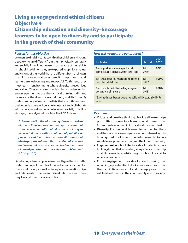### Living as engaged and ethical citizens Objective 4 Citizenship education and diversity–Encourage learners to be open to diversity and to participate in the growth of their community

#### *Reason for this objective*

Learners are in daily contact with other children and young people who are different from them physically, culturally and socially, for religious reasons, or because of their ability in school. In addition, they are exposed to opinions, values and visions of the world that are different from their own. In an inclusive education system, it is important that all learners are welcoming and respectful. To this end, they must learn in environments where diversity is recognized and valued. They must also have learning experiences that encourage them to use their critical thinking skills and be aware of the diversity around them, in all its forms. By understanding values and beliefs that are different from their own, learners will be able to interact and collaborate with others, as well as become involved socially to build a stronger, more dynamic society. The LCDP states:

*"It is essential for the education system and the Acadian and Francophone community to ensure that students acquire skills that allow them not only to make a judgment with a minimum of prejudice or preconceived ideas about various situations, but also to propose solutions that are relevant, effective and respectful of all parties involved in the course of remedying situations they view as problematic."*  **(LCDP, p. 130)**

Developing citizenship in learners will give them a better understanding of the role of the individual as a member of a social group, as well as interpersonal relationships, and relationships between individuals, the area where they live and their social institutions.

#### *How will we measure our progress?*

| <b>Indicator</b>                                                                             | <b>Actual</b>   | 2025-<br>2026 |
|----------------------------------------------------------------------------------------------|-----------------|---------------|
| % of high school students reporting being<br>able to influence decisions within their school | Fall<br>$2018*$ | 80%           |
| % of Grade 8 students reporting being open to<br>diversity in all its forms                  | Fall<br>$2018*$ | 100%          |
| % of Grade 12 students reporting being open<br>to diversity in all its forms                 | Fall<br>$2018*$ | 100%          |

\*Baseline data and target, where applicable, will be established by Fall 2018.

- **Critical and creative thinking**: Provide all learners opportunities to grow in a learning environment that fosters the development of critical and creative thinking.
- **Diversity**: Encourage all learners to be open to others and the world in a learning environment where diversity is recognized in all its forms as being essential to personal development and the growth of the community.
- **Engagement in school life**: Provide all students opportunities, during their schooling, to experience citizenship in all its forms by contributing to school life and to school operations.
- **Citizen engagement**: Provide all students, during their schooling, opportunities to look at various issues so that they can initiate, carry out and manage projects that will fulfil real needs in their community and in society.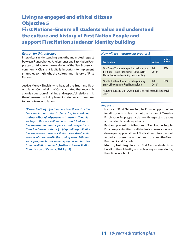### Living as engaged and ethical citizens Objective 5 First Nations–Ensure all students value and understand the culture and history of First Nation People and support First Nation students' identity building

#### *Reason for this objective*

Intercultural understanding, empathy and mutual respect between Francophones, Anglophones and First Nation People can contribute to the well-being of the New Brunswick community. Clearly, it is vitally important to implement strategies to highlight the culture and history of First Nations.

Justice Murray Sinclair, who headed the Truth and Reconciliation Commission of Canada, stated that reconciliation is a question of training and respectful relations. It is therefore essential to implement strategies and measures to promote reconciliation.

*"Reconciliation […] as they heal from the destructive legacies of colonization […] must inspire Aboriginal and non-Aboriginal peoples to transform Canadian society so that our children and grandchildren can live together in dignity, peace, and prosperity on these lands we now share. […] Expanding public dialogue and action on reconciliation beyond residential schools will be critical in the coming years. Although some progress has been made, significant barriers to reconciliation remain."* **(Truth and Reconciliation Commission of Canada, 2015, p. 8)**

#### *How will we measure our progress?*

| <b>Indicator</b>                                                                                                                                    | <b>Actual</b>   | $2025 -$<br>2026 |
|-----------------------------------------------------------------------------------------------------------------------------------------------------|-----------------|------------------|
| % of Grade 12 students reporting having an op-<br>portunity to study the history of Canada's First<br>Nation People in class during their schooling | Fall<br>2018*   | 90%              |
| % of First Nation students reporting a strong<br>sense of belonging to First Nation culture                                                         | Fall<br>$2018*$ | 90%              |

\*Baseline data and target, where applicable, will be established by Fall 2018.

- **History of First Nation People**: Provide opportunities for all students to learn about the history of Canada's First Nation People, particularly with respect to treaties and residential and day schools.
- **Past and present contributions of First Nation People**: Provide opportunities for all students to learn about and develop an appreciation of First Nation cultures, as well as past and present contributions to the growth of New Brunswick and Canada.
- **Identity building**: Support First Nation students in building their identity and achieving success during their time in school.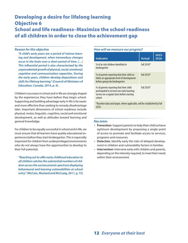### Developing a desire for lifelong learning Objective 6 School and life readiness–Maximize the school readiness of all children in order to close the achievement gap

#### *Reason for this objective*

*"A child's early years are a period of intense learning and development, when tremendous changes occur in the brain over a short period of time. […] This influential period is also characterized by the unprecedented growth of physical, social, emotional, cognitive and communication capacities. During the early years, children develop dispositions and skills for lifelong learning."* **(Council of Ministers of Education, Canada, 2014, p. 4).**

Children's successes in school and in life are strongly shaped by the experiences they have before they begin school. Supporting and building advantage early in life is far easier and more effective than seeking to remedy disadvantage later. Important dimensions of school readiness include physical, motor, linguistic, cognitive, social and emotional development, as well as attitudes toward learning and general knowledge.

For children to be equally successful in school and in life, we must ensure that all learners have quality educational experiences before they start kindergarten. This is especially important for children from underprivileged environments who do not always have the opportunities to develop to their full potential.

*"Reaching out to offer early childhood education to all children catches the substantial numbers of children across the socioeconomic spectrum displaying behavioural and learning vulnerabilities at school entry."* **(McCain, Mustard and McCuaig, 2011, p. 72)**

#### *How will we measure our progress?*

| <b>Indicator</b>                                                                                                                               | <b>Actual</b> | $2025 -$<br>2026 |
|------------------------------------------------------------------------------------------------------------------------------------------------|---------------|------------------|
| % of at-risk children identified in<br>kindergarten                                                                                            | Fall 2018*    |                  |
| % of parents reporting that their child ex-<br>hibits an appropriate level of development<br>before going into kindergarten                    | Fall $2018*$  |                  |
| % of parents reporting that their child<br>participated in at least one early learning<br>service on a regular basis before starting<br>school | Fall 2018*    |                  |
| *Baseline data and target, where applicable, will be established by Fall<br>2018.                                                              |               |                  |

- **Prevention**: Support parents to help their child achieve optimum development by proposing a single point of access to promote and facilitate access to services, programs and resources.
- **Detection**: Identify early the risks of delayed development in children and vulnerability factors in families.
- **Intervention**: Intervene early with children and parents, depending on the intensity required, to meet their needs within their environment.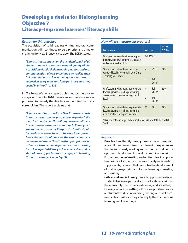### Developing a desire for lifelong learning Objective 7 Literacy–Improve learners' literacy skills

#### *Reason for this objective*

The acquisition of solid reading, writing and oral communication skills continues to be a priority and a major challenge for New Brunswick society. The LCDP states:

*"Literacy has an impact on the academic path of all students, as well as on their general quality of life. Acquisition of solid skills in reading, writing and oral communication allows individuals to realize their full potential and achieve their goals – in short, to succeed in every area, and long past the years they spend in school."* **(p. 133)**

In *The Power of Literacy* report published by the provincial government in 2016, several recommendations are proposed to remedy the deficiencies identified by many stakeholders. The report explains that:

*"Literacy must be a priority as New Brunswick charts its course toward greater prosperity and greater fulfilment for its residents. This will require a commitment to creating opportunities to engage in literacy-rich environments across the lifespan. Each child should be ready and eager to learn before kindergarten. Every student should receive the support and encouragement needed to attain the appropriate level of literacy. No one should graduate without meeting his or her expected literacy achievement. Every adult should have opportunities to engage in learning through a variety of ways."* **(p. 3)**

#### *How will we measure our progress?*

| <b>Indicator</b>                                                                                                                    | <b>Actual</b>  |                 | $2025 -$<br>2026 |
|-------------------------------------------------------------------------------------------------------------------------------------|----------------|-----------------|------------------|
| % of preschoolers who attain an appro-<br>priate level of development of language<br>and communication skills                       | Fall 2018*     |                 |                  |
| % of students who attain at least the<br>expected level in provincial Grades 2 and<br>3 reading assessments                         | $\mathfrak{D}$ | 79%             | 90%              |
|                                                                                                                                     | 3              | Fall<br>$2018*$ |                  |
| % of students who attain an appropriate<br>level on provincial reading and writing<br>assessments at the elementary school<br>level | 4              | Fall<br>$2018*$ | 85%              |
|                                                                                                                                     | $\overline{7}$ | Fall<br>$2018*$ |                  |
| % of students who attain an appropriate<br>level on provincial reading and writing<br>assessments at the high school level          | 11             | 60%             | 80%              |

\*Baseline data and target, where applicable, will be established by Fall 2018.

- **Preschool and family literacy**: Ensure that all preschool age children benefit from rich learning experiences that focus on early reading and writing, as well as the optimum development of oral communication skills.
- **Formal learning of reading and writing**: Provide opportunities for all students to receive quality intervention supported by research that promotes the development of oral language skills and formal learning of reading and writing.
- **Critical and media literacy**: Provide opportunities for all students to develop critical and media literacy skills so they can apply them in various learning and life settings.
- **Literacy in various settings**: Provide opportunities for all students to develop reading, writing and oral communication skills so they can apply them in various learning and life settings.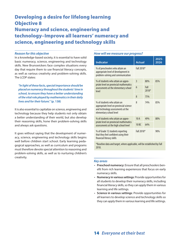## Developing a desire for lifelong learning Objective 8 Numeracy and science, engineering and technology–Improve all learners' numeracy and science, engineering and technology skills

#### *Reason for this objective*

In a knowledge-based society, it is essential to have solid basic numeracy, science, engineering and technology skills. New Brunswickers face complex situations every day that require them to use financial literacy concepts, as well as various creativity and problem-solving skills. The LCDP states:

*"In light of these facts, special importance should be placed on numeracy throughout the students' time in school, to ensure they have a better understanding of the vital role played by mathematics in their daily lives and for their future."* **(p. 138)**

It is also essential to capitalize on science, engineering and technology because they help students not only obtain a better understanding of their world, but also develop their reasoning skills, hone their problem-solving skills and always ask questions.

It goes without saying that the development of numeracy, science, engineering and technology skills begins well before children start school. Early learning pedagogical approaches, as well as curriculum and programs must therefore devote special attention to reasoning and problem-solving skills, as well as to nurturing children's creativity.

#### *How will we measure our progress?*

| <b>Indicator</b>                                                                                                                       | <b>Actual</b>    |                 | 2025-<br>2026 |
|----------------------------------------------------------------------------------------------------------------------------------------|------------------|-----------------|---------------|
| % of preschoolers who attain an<br>appropriate level of development in<br>problem-solving and communication                            | Fall 2018*       |                 |               |
| % of students who attain an appro-                                                                                                     | 3                | 80%             | 85%           |
| priate level on provincial mathematics<br>assessments at the elementary school<br>level                                                | $\overline{6}$   | Fall<br>$2018*$ |               |
|                                                                                                                                        | 8                | 75%             |               |
| % of students who attain an<br>appropriate level on provincial science<br>and technology assessments at the<br>elementary school level | 8                | 74%             | 85%           |
| % of students who attain an appro-<br>priate level on provincial mathematics<br>assessments at the high school level                   | 10A              | 49%             | 80%           |
|                                                                                                                                        | 10 <sub>BC</sub> | 64%             |               |
| % of Grade 12 students reporting<br>that they feel confident using their<br>financial literacy skills                                  | Fall 2018*       |                 | 90%           |
| *Baseline data and target, where applicable, will be established by Fall<br>2018.                                                      |                  |                 |               |

- **Preschool numeracy**: Ensure that all preschoolers benefit from rich learning experiences that focus on early numeracy skills.
- **Numeracy in various settings**: Provide opportunities for all students to develop their numeracy skills, including financial literacy skills, so they can apply them in various learning and life settings.
- **Science in various settings**: Provide opportunities for all learners to develop science and technology skills so they can apply them in various learning and life settings.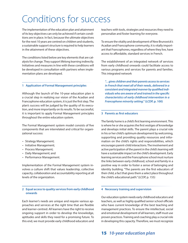## Conditions for success

The implementation of the education plan and attainment of its key objectives can only be achieved if certain conditions are in place. In fact, because the ultimate objectives for the next 10 years are centred on children and students, a sustainable support structure is required to help learners in the attainment of these objectives.

The conditions listed below are key elements that are catalysts for change. They support lifelong learning indirectly. Initiatives and measures in line with these conditions will be developed in consultation with partners when implementation plans are developed.

#### **1 Application of Formal Management principles**

Although the launch of the 10-year education plan is a crucial step in realizing our vision of the Acadian and Francophone education system, it is just the first step. The plan's success will be judged by the quality of its execution, and more importantly on its results. To be successful, it is important to apply Formal Management principles throughout the entire education system.

The Formal Management system model consists of five components that are interrelated and critical for organizational success:

- Strategy Management;
- Initiative Management;
- Process Management;
- Daily Management; and
- Performance Management.

Implementation of the Formal Management system involves a culture shift that values leadership, collective capacity, collaboration and accountability reporting at all levels of the organization.

#### **2 Equal access to quality services from early childhood onwards**

Each learner's needs are unique and require various approaches and services at the right time that are flexible and learner-centred. All learners have the right to receive ongoing support in order to develop the knowledge, aptitudes and skills they need for a promising future. To this end, we must provide early childhood educators and

teachers with tools, strategies and resources they need to personalize and foster learning for everyone.

To ensure the vitality and development of New Brunswick's Acadian and Francophone community, it is vitally important that Francophones, regardless of where they live, have access to affordable, standard services in French.

The establishment of an integrated network of services from early childhood onwards could facilitate access to various programs and services for parents and families. This integrated network

*"…gives children and their parents access to services in French that meet all of their needs, delivered in a consistent and integrated manner by qualified individuals who are aware of and trained in the specific characteristics of early childhood intervention in a Francophone minority setting."* **(LCDP, p. 100)**

#### **3 Parents as first educators**

The family home is a child's first learning environment. This is where he or she acquires the first vestiges of knowledge and develops initial skills. The parent plays a crucial role in his or her child's optimum development by welcoming, supporting and providing quality resources and information on the child's rights and responsibilities, which encourages parent-child interactions. The involvement and active participation of the parent in the child's learning will have a sustainable impact on the child's development. Early learning services and the Francophone school must nurture the links between early childhood, school and family in a positive way in order to foster a sense of belonging and identity building. "The parents are the first educators of their child, a fact that gives them a select place throughout the child's educational path." (LCDP, p. 155)

#### **4 Necessary training and supervision**

Our education system needs early childhood educators and teachers, as well as highly qualified senior school officials who have current knowledge of the best teaching and management practices. To ensure the intellectual, social and emotional development of all learners, staff must use proven practices. Training and coaching play a crucial role in developing this capacity. Therefore, we must recognize

### 15 *10-year education plan*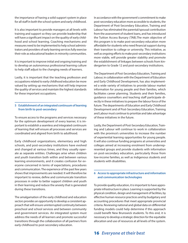the importance of having a solid support system in place for all staff in both the school system and early childhood.

It is also important to provide managers at all levels with training and support so they can provide leadership that will have a significant impact on the quality of early childhood and school learning. Coaching mechanisms and measures need to be implemented to help school administrators and providers of early learning services fully exercise their role as educational leaders in minority communities.

It is important to improve initial and ongoing training and to develop an autonomous professional learning culture to help staff adjust to the changing needs of learners.

Lastly, it is important that the teaching profession and occupations related to early childhood education be more valued by setting up mechanisms that will help improve the quality of services and maintain the highest standards for these important occupations.

#### **5 Establishment of an integrated continuum of learning from birth to post-secondary**

To ensure access to the programs and services necessary for the optimum development of every learner, it is important to establish a seamless and integrated continuum of learning that will ensure all processes and services are coordinated and aligned from birth to adulthood.

Early childhood organizations, elementary and high schools, and post-secondary institutions have evolved and changed at various times, and they usually operate as separate entities. Challenges arise when children and youth transition both within and between various learning environments, and it creates confusion for everyone concerned in terms of expectations, procedures and communication. The experience of the past few years shows that improvements are needed. It will therefore be important to review, define and communicate transition processes in order to better support children and youth in their learning and reduce the anxiety that is generated during these transitions.

The amalgamation of the early childhood and education sectors provides an opportunity to develop a consistent approach that will ensure uninterrupted continuity between preschool and school services and between community and government services. An integrated system must address the needs of all learners and promote successful transitions through the collaboration of all partners from early childhood to post-secondary education.

In accordance with the government's commitment to make post-secondary education more accessible to students, the Department of Post-Secondary Education, Training and Labour has eliminated the parental/spousal contribution from the assessment of student loans, and has introduced the Tuition Access Bursary (TAB).The main objective of this program is to make post-secondary education more affordable for students who need financial support during their transition to college or university. This initiative, as well as ongoing efforts to make post-secondary institutions more viable, will provide greater stability and promote the establishment of linkages between schools from kindergarten to Grade 12 and post-secondary institutions.

The Department of Post-Secondary Education, Training and Labour, in collaboration with the Department of Education and Early Childhood Development, has also implemented a wide variety of initiatives to provide labour market information for young people and their families, which facilitates career planning. Students and their families, guidance counsellors and teaching staff participate directly in these initiatives to prepare the labour force of the future. The departments of Education and Early Childhood Development and of Post-Secondary Education, Training and Labour must continue to prioritize and take advantage of these initiatives in the future.

Lastly, the Department of Post-Secondary Education, Training and Labour will continue to work in collaboration with the province's universities to increase the number of experiential learning opportunities for young people. It will also continue funding programs at universities and colleges aimed at increasing enrolment from underrepresented groups and provide students with information on post-secondary education, particularly those from low-income families, as well as Indigenous students and students with disabilities.

#### **6 Access to appropriate infrastructure and information and communication technologies**

To provide quality education, it is important to have appropriate infrastructure in place. Learning is supported by the physical condition, design and management of facilities, by effective human resource practices and by budgetary and accounting procedures that meet appropriate provincial criteria. Reviewing national and global data on differential funding models could help determine if this approach could benefit New Brunswick students. To this end, it is necessary to develop a strategic direction for the equitable allocation and use of resources at all levels of the system.

#### 16 *Everyone at their best*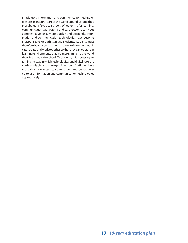In addition, information and communication technologies are an integral part of the world around us, and they must be transferred to schools. Whether it is for learning, communication with parents and partners, or to carry out administrative tasks more quickly and efficiently, information and communication technologies have become indispensable for both staff and students. Students must therefore have access to them in order to learn, communicate, create and work together so that they can operate in learning environments that are more similar to the world they live in outside school. To this end, it is necessary to rethink the way in which technological and digital tools are made available and managed in schools. Staff members must also have access to current tools and be supported to use information and communication technologies appropriately.